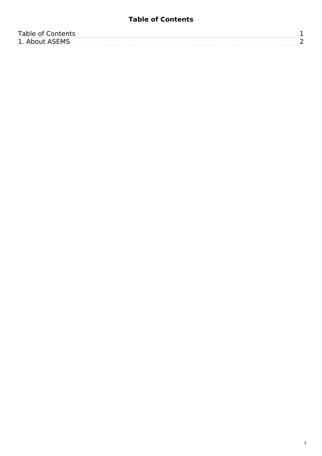## **Table of Contents**

<span id="page-0-0"></span>

| <b>Table of Contents</b> |  |
|--------------------------|--|
| 1. About ASEMS           |  |